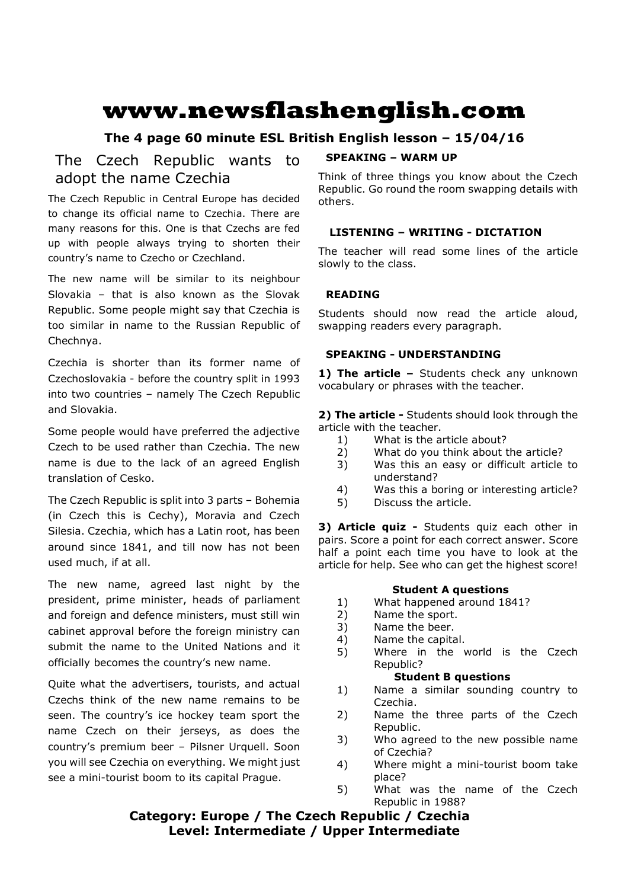# **www.newsflashenglish.com**

# **The 4 page 60 minute ESL British English lesson – 15/04/16**

# The Czech Republic wants to adopt the name Czechia

The Czech Republic in Central Europe has decided to change its official name to Czechia. There are many reasons for this. One is that Czechs are fed up with people always trying to shorten their country's name to Czecho or Czechland.

The new name will be similar to its neighbour Slovakia – that is also known as the Slovak Republic. Some people might say that Czechia is too similar in name to the Russian Republic of Chechnya.

Czechia is shorter than its former name of Czechoslovakia - before the country split in 1993 into two countries – namely The Czech Republic and Slovakia.

Some people would have preferred the adjective Czech to be used rather than Czechia. The new name is due to the lack of an agreed English translation of Cesko.

The Czech Republic is split into 3 parts – Bohemia (in Czech this is Cechy), Moravia and Czech Silesia. Czechia, which has a Latin root, has been around since 1841, and till now has not been used much, if at all.

The new name, agreed last night by the president, prime minister, heads of parliament and foreign and defence ministers, must still win cabinet approval before the foreign ministry can submit the name to the United Nations and it officially becomes the country's new name.

Quite what the advertisers, tourists, and actual Czechs think of the new name remains to be seen. The country's ice hockey team sport the name Czech on their jerseys, as does the country's premium beer – Pilsner Urquell. Soon you will see Czechia on everything. We might just see a mini-tourist boom to its capital Prague.

### **SPEAKING – WARM UP**

Think of three things you know about the Czech Republic. Go round the room swapping details with others.

### **LISTENING – WRITING - DICTATION**

The teacher will read some lines of the article slowly to the class.

### **READING**

Students should now read the article aloud, swapping readers every paragraph.

#### **SPEAKING - UNDERSTANDING**

1) The article - Students check any unknown vocabulary or phrases with the teacher.

**2) The article -** Students should look through the article with the teacher.

- 1) What is the article about?
- 2) What do you think about the article?
- 3) Was this an easy or difficult article to understand?
- 4) Was this a boring or interesting article?
- 5) Discuss the article.

**3) Article quiz -** Students quiz each other in pairs. Score a point for each correct answer. Score half a point each time you have to look at the article for help. See who can get the highest score!

#### **Student A questions**

- 1) What happened around 1841?
- 2) Name the sport.
- 3) Name the beer.
- 4) Name the capital.
- 5) Where in the world is the Czech Republic?

#### **Student B questions**

- 1) Name a similar sounding country to Czechia.
- 2) Name the three parts of the Czech Republic.
- 3) Who agreed to the new possible name of Czechia?
- 4) Where might a mini-tourist boom take place?
- 5) What was the name of the Czech Republic in 1988?

# **Category: Europe / The Czech Republic / Czechia Level: Intermediate / Upper Intermediate**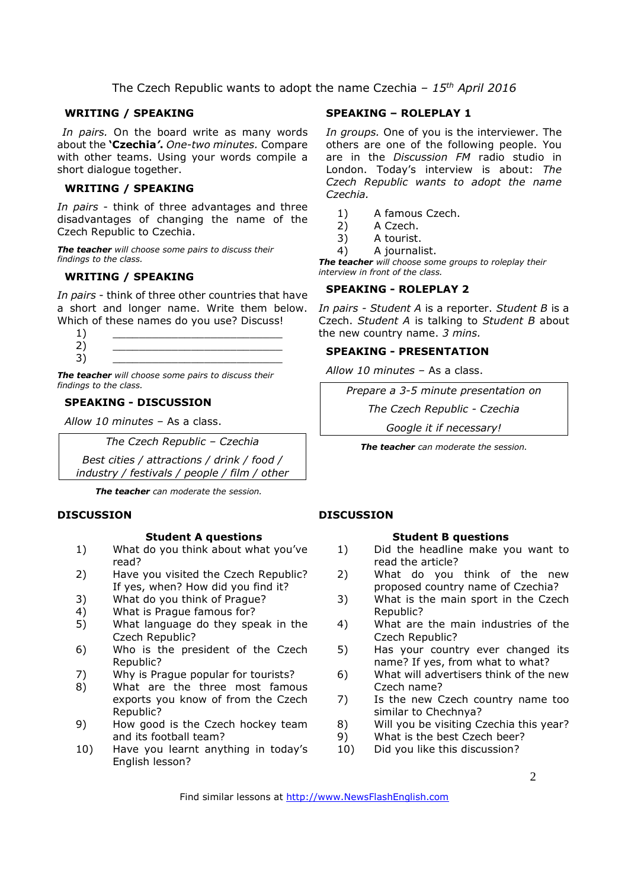The Czech Republic wants to adopt the name Czechia *– 15th April 2016*

#### **WRITING / SPEAKING**

*In pairs.* On the board write as many words about the **'Czechia***'***.** *One-two minutes.* Compare with other teams. Using your words compile a short dialogue together.

#### **WRITING / SPEAKING**

*In pairs* - think of three advantages and three disadvantages of changing the name of the Czech Republic to Czechia.

*The teacher will choose some pairs to discuss their findings to the class.* 

### **WRITING / SPEAKING**

*In pairs* - think of three other countries that have a short and longer name. Write them below. Which of these names do you use? Discuss!



*The teacher will choose some pairs to discuss their findings to the class.* 

#### **SPEAKING - DISCUSSION**

*Allow 10 minutes* – As a class.

*The Czech Republic – Czechia* 

*Best cities / attractions / drink / food / industry / festivals / people / film / other*

*The teacher can moderate the session.*

#### **DISCUSSION**

#### **Student A questions**

- 1) What do you think about what you've read?
- 2) Have you visited the Czech Republic? If yes, when? How did you find it?
- 3) What do you think of Prague?
- 4) What is Prague famous for?
- 5) What language do they speak in the Czech Republic?
- 6) Who is the president of the Czech Republic?
- 7) Why is Prague popular for tourists?
- 8) What are the three most famous exports you know of from the Czech Republic?
- 9) How good is the Czech hockey team and its football team?
- 10) Have you learnt anything in today's English lesson?

#### **SPEAKING – ROLEPLAY 1**

*In groups.* One of you is the interviewer. The others are one of the following people. You are in the *Discussion FM* radio studio in London. Today's interview is about: *The Czech Republic wants to adopt the name Czechia.*

- 1) A famous Czech.
- 2) A Czech.
- 3) A tourist.
- 4) A journalist.

*The teacher will choose some groups to roleplay their interview in front of the class.* 

### **SPEAKING - ROLEPLAY 2**

*In pairs - Student A* is a reporter. *Student B* is a Czech. *Student A* is talking to *Student B* about the new country name. *3 mins.* 

#### **SPEAKING - PRESENTATION**

*Allow 10 minutes* – As a class.

*Prepare a 3-5 minute presentation on* 

*The Czech Republic - Czechia* 

*Google it if necessary!*

*The teacher can moderate the session.*

#### **DISCUSSION**

#### **Student B questions**

- 1) Did the headline make you want to read the article?
- 2) What do you think of the new proposed country name of Czechia?
- 3) What is the main sport in the Czech Republic?
- 4) What are the main industries of the Czech Republic?
- 5) Has your country ever changed its name? If yes, from what to what?
- 6) What will advertisers think of the new Czech name?
- 7) Is the new Czech country name too similar to Chechnya?
- 8) Will you be visiting Czechia this year?
- 9) What is the best Czech beer?
- 10) Did you like this discussion?

2

Find similar lessons at http://www.NewsFlashEnglish.com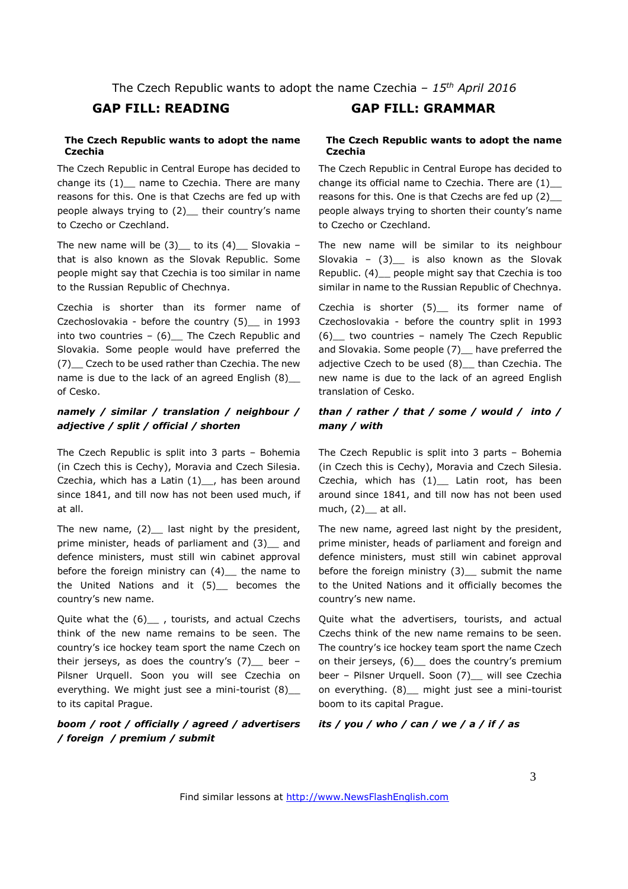#### **The Czech Republic wants to adopt the name Czechia**

The Czech Republic in Central Europe has decided to change its (1) name to Czechia. There are many reasons for this. One is that Czechs are fed up with people always trying to (2) their country's name to Czecho or Czechland.

The new name will be  $(3)$  to its  $(4)$  Slovakia – that is also known as the Slovak Republic. Some people might say that Czechia is too similar in name to the Russian Republic of Chechnya.

Czechia is shorter than its former name of Czechoslovakia - before the country (5)\_\_ in 1993 into two countries  $-$  (6) The Czech Republic and Slovakia. Some people would have preferred the (7)\_\_ Czech to be used rather than Czechia. The new name is due to the lack of an agreed English (8) of Cesko.

### *namely / similar / translation / neighbour / adjective / split / official / shorten*

The Czech Republic is split into 3 parts – Bohemia (in Czech this is Cechy), Moravia and Czech Silesia. Czechia, which has a Latin  $(1)$ , has been around since 1841, and till now has not been used much, if at all.

The new name,  $(2)$  last night by the president, prime minister, heads of parliament and (3) and defence ministers, must still win cabinet approval before the foreign ministry can  $(4)$  the name to the United Nations and it (5)\_\_ becomes the country's new name.

Quite what the (6) , tourists, and actual Czechs think of the new name remains to be seen. The country's ice hockey team sport the name Czech on their jerseys, as does the country's  $(7)$  beer -Pilsner Urquell. Soon you will see Czechia on everything. We might just see a mini-tourist (8)\_\_ to its capital Prague.

#### *boom / root / officially / agreed / advertisers / foreign / premium / submit*

## **GAP FILL: READING GAP FILL: GRAMMAR**

#### **The Czech Republic wants to adopt the name Czechia**

The Czech Republic in Central Europe has decided to change its official name to Czechia. There are (1)\_\_ reasons for this. One is that Czechs are fed up (2)\_\_ people always trying to shorten their county's name to Czecho or Czechland.

The new name will be similar to its neighbour Slovakia –  $(3)$  is also known as the Slovak Republic. (4)\_\_ people might say that Czechia is too similar in name to the Russian Republic of Chechnya.

Czechia is shorter (5) its former name of Czechoslovakia - before the country split in 1993 (6)\_\_ two countries – namely The Czech Republic and Slovakia. Some people (7) have preferred the adjective Czech to be used (8)\_\_ than Czechia. The new name is due to the lack of an agreed English translation of Cesko.

#### *than / rather / that / some / would / into / many / with*

The Czech Republic is split into 3 parts – Bohemia (in Czech this is Cechy), Moravia and Czech Silesia. Czechia, which has (1)\_\_ Latin root, has been around since 1841, and till now has not been used much,  $(2)$  at all.

The new name, agreed last night by the president, prime minister, heads of parliament and foreign and defence ministers, must still win cabinet approval before the foreign ministry (3) submit the name to the United Nations and it officially becomes the country's new name.

Quite what the advertisers, tourists, and actual Czechs think of the new name remains to be seen. The country's ice hockey team sport the name Czech on their jerseys, (6) does the country's premium beer - Pilsner Urquell. Soon (7)\_\_ will see Czechia on everything. (8) might just see a mini-tourist boom to its capital Prague.

#### *its / you / who / can / we / a / if / as*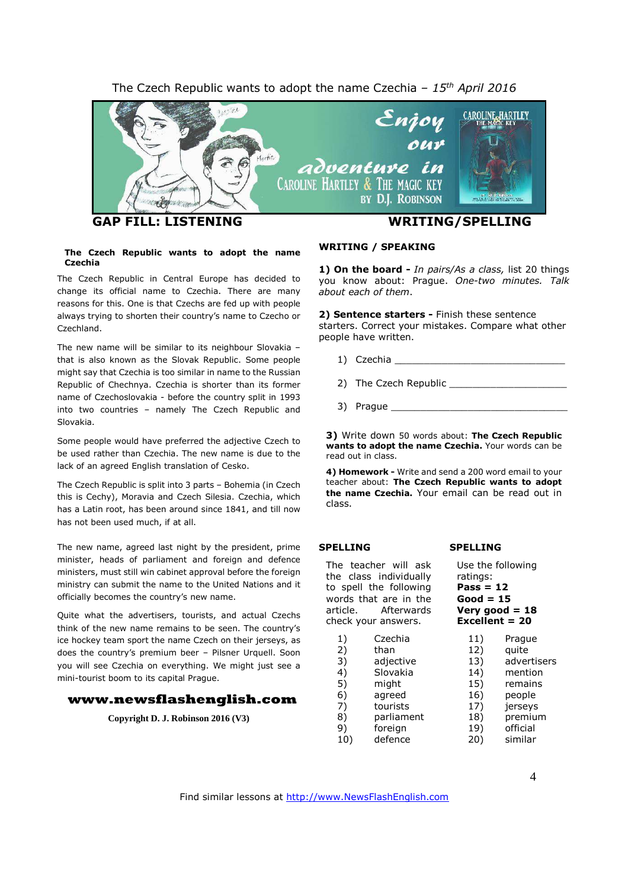#### The Czech Republic wants to adopt the name Czechia *– 15 th April 2016*



#### **The Czech Republic wants to adopt the name Czechia**

The Czech Republic in Central Europe has decided to change its official name to Czechia. There are many reasons for this. One is that Czechs are fed up with people always trying to shorten their country's name to Czecho or Czechland.

The new name will be similar to its neighbour Slovakia – that is also known as the Slovak Republic. Some people might say that Czechia is too similar in name to the Russian Republic of Chechnya. Czechia is shorter than its former name of Czechoslovakia - before the country split in 1993 into two countries – namely The Czech Republic and Slovakia.

Some people would have preferred the adjective Czech to be used rather than Czechia. The new name is due to the lack of an agreed English translation of Cesko.

The Czech Republic is split into 3 parts – Bohemia (in Czech this is Cechy), Moravia and Czech Silesia. Czechia, which has a Latin root, has been around since 1841, and till now has not been used much, if at all.

The new name, agreed last night by the president, prime minister, heads of parliament and foreign and defence ministers, must still win cabinet approval before the foreign ministry can submit the name to the United Nations and it officially becomes the country's new name.

Quite what the advertisers, tourists, and actual Czechs think of the new name remains to be seen. The country's ice hockey team sport the name Czech on their jerseys, as does the country's premium beer – Pilsner Urquell. Soon you will see Czechia on everything. We might just see a mini-tourist boom to its capital Prague.

#### **www.newsflashenglish.com**

**Copyright D. J. Robinson 2016 (V3)**

#### **WRITING / SPEAKING**

**1) On the board -** *In pairs/As a class,* list 20 things you know about: Prague. *One-two minutes. Talk about each of them*.

**2) Sentence starters -** Finish these sentence starters. Correct your mistakes. Compare what other people have written.

- 1) Czechia \_\_\_\_\_\_\_\_\_\_\_\_\_\_\_\_\_\_\_\_\_\_\_\_\_\_\_\_\_
- 2) The Czech Republic
- 3) Prague \_\_\_\_\_\_\_\_\_\_\_\_\_\_\_\_\_\_\_\_\_\_\_\_\_\_\_\_\_\_

**3)** Write down 50 words about: **The Czech Republic wants to adopt the name Czechia.** Your words can be read out in class.

**4) Homework -** Write and send a 200 word email to your teacher about: **The Czech Republic wants to adopt the name Czechia.** Your email can be read out in class.

#### **SPELLING**

 $1)$  $2)$  $3)$ 4) 5) might 6)  $7)$ 

9)

The teacher will ask the class individually to spell the following words that are in the article. Afterwards check your answers.

| ratings:       |  |
|----------------|--|
| Pass = 12      |  |
| Good = 15      |  |
| Very good = 18 |  |

Use the following

**SPELLING**

# **Excellent = 20**

| 1)  | Czechia    | 11) | Prague      |
|-----|------------|-----|-------------|
| 2)  | than       | 12) | quite       |
| 3)  | adjective  | 13) | advertisers |
| 4)  | Slovakia   | 14) | mention     |
| 5)  | might      | 15) | remains     |
| 6)  | agreed     | 16) | people      |
| 7)  | tourists   | 17) | jerseys     |
| 8)  | parliament | 18) | premium     |
| 9)  | foreign    | 19) | official    |
| 10) | defence    | 20) | similar     |